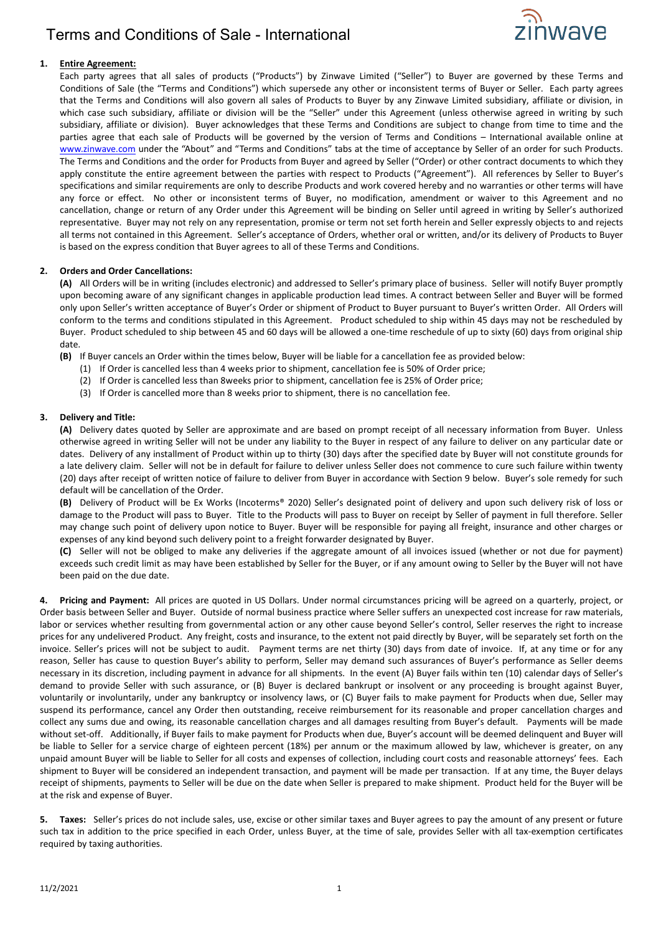# Terms and Conditions of Sale - International



### **1. Entire Agreement:**

Each party agrees that all sales of products ("Products") by Zinwave Limited ("Seller") to Buyer are governed by these Terms and Conditions of Sale (the "Terms and Conditions") which supersede any other or inconsistent terms of Buyer or Seller. Each party agrees that the Terms and Conditions will also govern all sales of Products to Buyer by any Zinwave Limited subsidiary, affiliate or division, in which case such subsidiary, affiliate or division will be the "Seller" under this Agreement (unless otherwise agreed in writing by such subsidiary, affiliate or division). Buyer acknowledges that these Terms and Conditions are subject to change from time to time and the parties agree that each sale of Products will be governed by the version of Terms and Conditions – International available online at [www.zinwave.com](http://www.zinwave.com/) under the "About" and "Terms and Conditions" tabs at the time of acceptance by Seller of an order for such Products. The Terms and Conditions and the order for Products from Buyer and agreed by Seller ("Order) or other contract documents to which they apply constitute the entire agreement between the parties with respect to Products ("Agreement"). All references by Seller to Buyer's specifications and similar requirements are only to describe Products and work covered hereby and no warranties or other terms will have any force or effect. No other or inconsistent terms of Buyer, no modification, amendment or waiver to this Agreement and no cancellation, change or return of any Order under this Agreement will be binding on Seller until agreed in writing by Seller's authorized representative. Buyer may not rely on any representation, promise or term not set forth herein and Seller expressly objects to and rejects all terms not contained in this Agreement. Seller's acceptance of Orders, whether oral or written, and/or its delivery of Products to Buyer is based on the express condition that Buyer agrees to all of these Terms and Conditions.

### **2. Orders and Order Cancellations:**

**(A)** All Orders will be in writing (includes electronic) and addressed to Seller's primary place of business. Seller will notify Buyer promptly upon becoming aware of any significant changes in applicable production lead times. A contract between Seller and Buyer will be formed only upon Seller's written acceptance of Buyer's Order or shipment of Product to Buyer pursuant to Buyer's written Order. All Orders will conform to the terms and conditions stipulated in this Agreement. Product scheduled to ship within 45 days may not be rescheduled by Buyer. Product scheduled to ship between 45 and 60 days will be allowed a one-time reschedule of up to sixty (60) days from original ship date.

**(B)** If Buyer cancels an Order within the times below, Buyer will be liable for a cancellation fee as provided below:

- (1) If Order is cancelled less than 4 weeks prior to shipment, cancellation fee is 50% of Order price;
- (2) If Order is cancelled less than 8weeks prior to shipment, cancellation fee is 25% of Order price;
- (3) If Order is cancelled more than 8 weeks prior to shipment, there is no cancellation fee.

### **3. Delivery and Title:**

**(A)** Delivery dates quoted by Seller are approximate and are based on prompt receipt of all necessary information from Buyer. Unless otherwise agreed in writing Seller will not be under any liability to the Buyer in respect of any failure to deliver on any particular date or dates. Delivery of any installment of Product within up to thirty (30) days after the specified date by Buyer will not constitute grounds for a late delivery claim. Seller will not be in default for failure to deliver unless Seller does not commence to cure such failure within twenty (20) days after receipt of written notice of failure to deliver from Buyer in accordance with Section 9 below. Buyer's sole remedy for such default will be cancellation of the Order.

**(B)** Delivery of Product will be Ex Works (Incoterms® 2020) Seller's designated point of delivery and upon such delivery risk of loss or damage to the Product will pass to Buyer. Title to the Products will pass to Buyer on receipt by Seller of payment in full therefore. Seller may change such point of delivery upon notice to Buyer. Buyer will be responsible for paying all freight, insurance and other charges or expenses of any kind beyond such delivery point to a freight forwarder designated by Buyer.

**(C)** Seller will not be obliged to make any deliveries if the aggregate amount of all invoices issued (whether or not due for payment) exceeds such credit limit as may have been established by Seller for the Buyer, or if any amount owing to Seller by the Buyer will not have been paid on the due date.

**4. Pricing and Payment:** All prices are quoted in US Dollars. Under normal circumstances pricing will be agreed on a quarterly, project, or Order basis between Seller and Buyer. Outside of normal business practice where Seller suffers an unexpected cost increase for raw materials, labor or services whether resulting from governmental action or any other cause beyond Seller's control, Seller reserves the right to increase prices for any undelivered Product. Any freight, costs and insurance, to the extent not paid directly by Buyer, will be separately set forth on the invoice. Seller's prices will not be subject to audit. Payment terms are net thirty (30) days from date of invoice. If, at any time or for any reason, Seller has cause to question Buyer's ability to perform, Seller may demand such assurances of Buyer's performance as Seller deems necessary in its discretion, including payment in advance for all shipments. In the event (A) Buyer fails within ten (10) calendar days of Seller's demand to provide Seller with such assurance, or (B) Buyer is declared bankrupt or insolvent or any proceeding is brought against Buyer, voluntarily or involuntarily, under any bankruptcy or insolvency laws, or (C) Buyer fails to make payment for Products when due, Seller may suspend its performance, cancel any Order then outstanding, receive reimbursement for its reasonable and proper cancellation charges and collect any sums due and owing, its reasonable cancellation charges and all damages resulting from Buyer's default. Payments will be made without set-off. Additionally, if Buyer fails to make payment for Products when due, Buyer's account will be deemed delinquent and Buyer will be liable to Seller for a service charge of eighteen percent (18%) per annum or the maximum allowed by law, whichever is greater, on any unpaid amount Buyer will be liable to Seller for all costs and expenses of collection, including court costs and reasonable attorneys' fees. Each shipment to Buyer will be considered an independent transaction, and payment will be made per transaction. If at any time, the Buyer delays receipt of shipments, payments to Seller will be due on the date when Seller is prepared to make shipment. Product held for the Buyer will be at the risk and expense of Buyer.

**5. Taxes:** Seller's prices do not include sales, use, excise or other similar taxes and Buyer agrees to pay the amount of any present or future such tax in addition to the price specified in each Order, unless Buyer, at the time of sale, provides Seller with all tax-exemption certificates required by taxing authorities.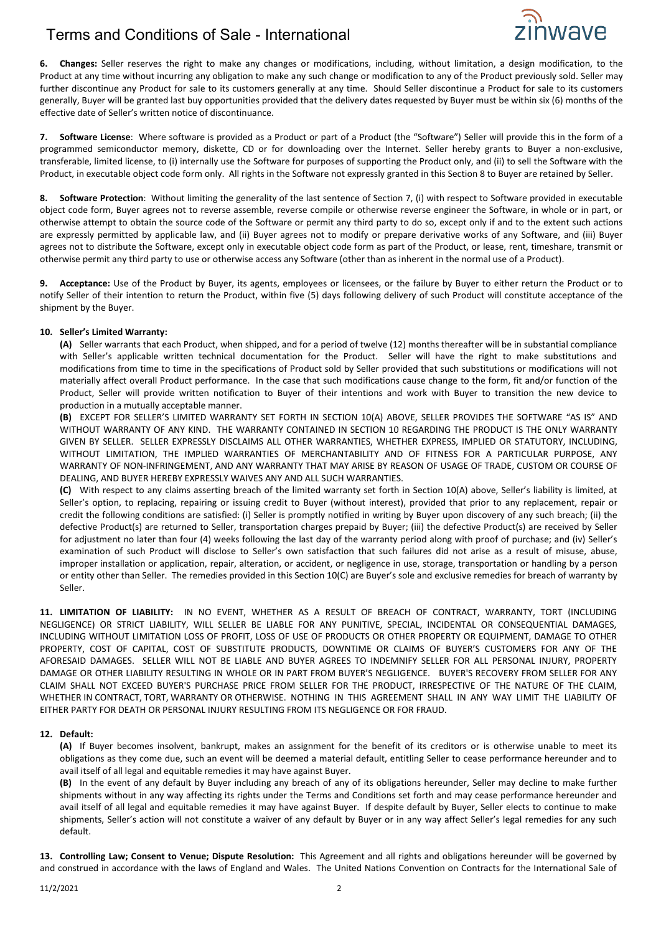

**6. Changes:** Seller reserves the right to make any changes or modifications, including, without limitation, a design modification, to the Product at any time without incurring any obligation to make any such change or modification to any of the Product previously sold. Seller may further discontinue any Product for sale to its customers generally at any time. Should Seller discontinue a Product for sale to its customers generally, Buyer will be granted last buy opportunities provided that the delivery dates requested by Buyer must be within six (6) months of the effective date of Seller's written notice of discontinuance.

**7. Software License**: Where software is provided as a Product or part of a Product (the "Software") Seller will provide this in the form of a programmed semiconductor memory, diskette, CD or for downloading over the Internet. Seller hereby grants to Buyer a non-exclusive, transferable, limited license, to (i) internally use the Software for purposes of supporting the Product only, and (ii) to sell the Software with the Product, in executable object code form only. All rights in the Software not expressly granted in this Section 8 to Buyer are retained by Seller.

**8. Software Protection**: Without limiting the generality of the last sentence of Section 7, (i) with respect to Software provided in executable object code form, Buyer agrees not to reverse assemble, reverse compile or otherwise reverse engineer the Software, in whole or in part, or otherwise attempt to obtain the source code of the Software or permit any third party to do so, except only if and to the extent such actions are expressly permitted by applicable law, and (ii) Buyer agrees not to modify or prepare derivative works of any Software, and (iii) Buyer agrees not to distribute the Software, except only in executable object code form as part of the Product, or lease, rent, timeshare, transmit or otherwise permit any third party to use or otherwise access any Software (other than as inherent in the normal use of a Product).

**9. Acceptance:** Use of the Product by Buyer, its agents, employees or licensees, or the failure by Buyer to either return the Product or to notify Seller of their intention to return the Product, within five (5) days following delivery of such Product will constitute acceptance of the shipment by the Buyer.

### **10. Seller's Limited Warranty:**

**(A)** Seller warrants that each Product, when shipped, and for a period of twelve (12) months thereafter will be in substantial compliance with Seller's applicable written technical documentation for the Product. Seller will have the right to make substitutions and modifications from time to time in the specifications of Product sold by Seller provided that such substitutions or modifications will not materially affect overall Product performance. In the case that such modifications cause change to the form, fit and/or function of the Product, Seller will provide written notification to Buyer of their intentions and work with Buyer to transition the new device to production in a mutually acceptable manner.

**(B)** EXCEPT FOR SELLER'S LIMITED WARRANTY SET FORTH IN SECTION 10(A) ABOVE, SELLER PROVIDES THE SOFTWARE "AS IS" AND WITHOUT WARRANTY OF ANY KIND. THE WARRANTY CONTAINED IN SECTION 10 REGARDING THE PRODUCT IS THE ONLY WARRANTY GIVEN BY SELLER. SELLER EXPRESSLY DISCLAIMS ALL OTHER WARRANTIES, WHETHER EXPRESS, IMPLIED OR STATUTORY, INCLUDING, WITHOUT LIMITATION, THE IMPLIED WARRANTIES OF MERCHANTABILITY AND OF FITNESS FOR A PARTICULAR PURPOSE, ANY WARRANTY OF NON-INFRINGEMENT, AND ANY WARRANTY THAT MAY ARISE BY REASON OF USAGE OF TRADE, CUSTOM OR COURSE OF DEALING, AND BUYER HEREBY EXPRESSLY WAIVES ANY AND ALL SUCH WARRANTIES.

**(C)** With respect to any claims asserting breach of the limited warranty set forth in Section 10(A) above, Seller's liability is limited, at Seller's option, to replacing, repairing or issuing credit to Buyer (without interest), provided that prior to any replacement, repair or credit the following conditions are satisfied: (i) Seller is promptly notified in writing by Buyer upon discovery of any such breach; (ii) the defective Product(s) are returned to Seller, transportation charges prepaid by Buyer; (iii) the defective Product(s) are received by Seller for adjustment no later than four (4) weeks following the last day of the warranty period along with proof of purchase; and (iv) Seller's examination of such Product will disclose to Seller's own satisfaction that such failures did not arise as a result of misuse, abuse, improper installation or application, repair, alteration, or accident, or negligence in use, storage, transportation or handling by a person or entity other than Seller. The remedies provided in this Section 10(C) are Buyer's sole and exclusive remedies for breach of warranty by Seller.

**11. LIMITATION OF LIABILITY:** IN NO EVENT, WHETHER AS A RESULT OF BREACH OF CONTRACT, WARRANTY, TORT (INCLUDING NEGLIGENCE) OR STRICT LIABILITY, WILL SELLER BE LIABLE FOR ANY PUNITIVE, SPECIAL, INCIDENTAL OR CONSEQUENTIAL DAMAGES, INCLUDING WITHOUT LIMITATION LOSS OF PROFIT, LOSS OF USE OF PRODUCTS OR OTHER PROPERTY OR EQUIPMENT, DAMAGE TO OTHER PROPERTY, COST OF CAPITAL, COST OF SUBSTITUTE PRODUCTS, DOWNTIME OR CLAIMS OF BUYER'S CUSTOMERS FOR ANY OF THE AFORESAID DAMAGES. SELLER WILL NOT BE LIABLE AND BUYER AGREES TO INDEMNIFY SELLER FOR ALL PERSONAL INJURY, PROPERTY DAMAGE OR OTHER LIABILITY RESULTING IN WHOLE OR IN PART FROM BUYER'S NEGLIGENCE. BUYER'S RECOVERY FROM SELLER FOR ANY CLAIM SHALL NOT EXCEED BUYER'S PURCHASE PRICE FROM SELLER FOR THE PRODUCT, IRRESPECTIVE OF THE NATURE OF THE CLAIM, WHETHER IN CONTRACT, TORT, WARRANTY OR OTHERWISE. NOTHING IN THIS AGREEMENT SHALL IN ANY WAY LIMIT THE LIABILITY OF EITHER PARTY FOR DEATH OR PERSONAL INJURY RESULTING FROM ITS NEGLIGENCE OR FOR FRAUD.

#### **12. Default:**

**(A)** If Buyer becomes insolvent, bankrupt, makes an assignment for the benefit of its creditors or is otherwise unable to meet its obligations as they come due, such an event will be deemed a material default, entitling Seller to cease performance hereunder and to avail itself of all legal and equitable remedies it may have against Buyer.

**(B)** In the event of any default by Buyer including any breach of any of its obligations hereunder, Seller may decline to make further shipments without in any way affecting its rights under the Terms and Conditions set forth and may cease performance hereunder and avail itself of all legal and equitable remedies it may have against Buyer. If despite default by Buyer, Seller elects to continue to make shipments, Seller's action will not constitute a waiver of any default by Buyer or in any way affect Seller's legal remedies for any such default.

**13. Controlling Law; Consent to Venue; Dispute Resolution:** This Agreement and all rights and obligations hereunder will be governed by and construed in accordance with the laws of England and Wales. The United Nations Convention on Contracts for the International Sale of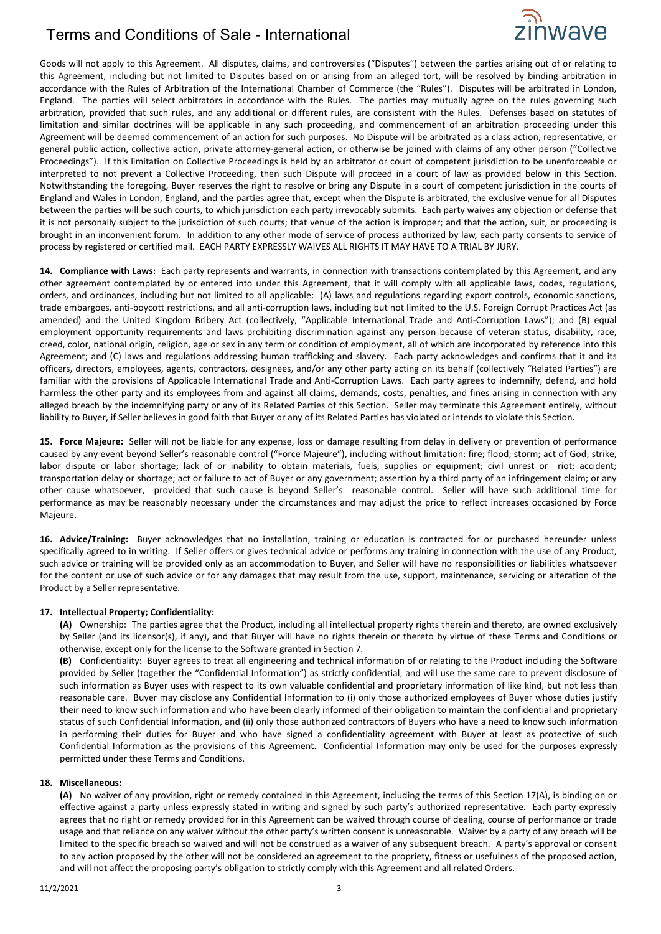# Terms and Conditions of Sale - International



Goods will not apply to this Agreement. All disputes, claims, and controversies ("Disputes") between the parties arising out of or relating to this Agreement, including but not limited to Disputes based on or arising from an alleged tort, will be resolved by binding arbitration in accordance with the Rules of Arbitration of the International Chamber of Commerce (the "Rules"). Disputes will be arbitrated in London, England. The parties will select arbitrators in accordance with the Rules. The parties may mutually agree on the rules governing such arbitration, provided that such rules, and any additional or different rules, are consistent with the Rules. Defenses based on statutes of limitation and similar doctrines will be applicable in any such proceeding, and commencement of an arbitration proceeding under this Agreement will be deemed commencement of an action for such purposes. No Dispute will be arbitrated as a class action, representative, or general public action, collective action, private attorney-general action, or otherwise be joined with claims of any other person ("Collective Proceedings"). If this limitation on Collective Proceedings is held by an arbitrator or court of competent jurisdiction to be unenforceable or interpreted to not prevent a Collective Proceeding, then such Dispute will proceed in a court of law as provided below in this Section. Notwithstanding the foregoing, Buyer reserves the right to resolve or bring any Dispute in a court of competent jurisdiction in the courts of England and Wales in London, England, and the parties agree that, except when the Dispute is arbitrated, the exclusive venue for all Disputes between the parties will be such courts, to which jurisdiction each party irrevocably submits. Each party waives any objection or defense that it is not personally subject to the jurisdiction of such courts; that venue of the action is improper; and that the action, suit, or proceeding is brought in an inconvenient forum. In addition to any other mode of service of process authorized by law, each party consents to service of process by registered or certified mail. EACH PARTY EXPRESSLY WAIVES ALL RIGHTS IT MAY HAVE TO A TRIAL BY JURY.

**14. Compliance with Laws:** Each party represents and warrants, in connection with transactions contemplated by this Agreement, and any other agreement contemplated by or entered into under this Agreement, that it will comply with all applicable laws, codes, regulations, orders, and ordinances, including but not limited to all applicable: (A) laws and regulations regarding export controls, economic sanctions, trade embargoes, anti-boycott restrictions, and all anti-corruption laws, including but not limited to the U.S. Foreign Corrupt Practices Act (as amended) and the United Kingdom Bribery Act (collectively, "Applicable International Trade and Anti-Corruption Laws"); and (B) equal employment opportunity requirements and laws prohibiting discrimination against any person because of veteran status, disability, race, creed, color, national origin, religion, age or sex in any term or condition of employment, all of which are incorporated by reference into this Agreement; and (C) laws and regulations addressing human trafficking and slavery. Each party acknowledges and confirms that it and its officers, directors, employees, agents, contractors, designees, and/or any other party acting on its behalf (collectively "Related Parties") are familiar with the provisions of Applicable International Trade and Anti-Corruption Laws. Each party agrees to indemnify, defend, and hold harmless the other party and its employees from and against all claims, demands, costs, penalties, and fines arising in connection with any alleged breach by the indemnifying party or any of its Related Parties of this Section. Seller may terminate this Agreement entirely, without liability to Buyer, if Seller believes in good faith that Buyer or any of its Related Parties has violated or intends to violate this Section.

**15. Force Majeure:** Seller will not be liable for any expense, loss or damage resulting from delay in delivery or prevention of performance caused by any event beyond Seller's reasonable control ("Force Majeure"), including without limitation: fire; flood; storm; act of God; strike, labor dispute or labor shortage; lack of or inability to obtain materials, fuels, supplies or equipment; civil unrest or riot; accident; transportation delay or shortage; act or failure to act of Buyer or any government; assertion by a third party of an infringement claim; or any other cause whatsoever, provided that such cause is beyond Seller's reasonable control. Seller will have such additional time for performance as may be reasonably necessary under the circumstances and may adjust the price to reflect increases occasioned by Force Majeure.

**16. Advice/Training:** Buyer acknowledges that no installation, training or education is contracted for or purchased hereunder unless specifically agreed to in writing. If Seller offers or gives technical advice or performs any training in connection with the use of any Product, such advice or training will be provided only as an accommodation to Buyer, and Seller will have no responsibilities or liabilities whatsoever for the content or use of such advice or for any damages that may result from the use, support, maintenance, servicing or alteration of the Product by a Seller representative.

#### **17. Intellectual Property; Confidentiality:**

**(A)** Ownership: The parties agree that the Product, including all intellectual property rights therein and thereto, are owned exclusively by Seller (and its licensor(s), if any), and that Buyer will have no rights therein or thereto by virtue of these Terms and Conditions or otherwise, except only for the license to the Software granted in Section 7.

**(B)** Confidentiality: Buyer agrees to treat all engineering and technical information of or relating to the Product including the Software provided by Seller (together the "Confidential Information") as strictly confidential, and will use the same care to prevent disclosure of such information as Buyer uses with respect to its own valuable confidential and proprietary information of like kind, but not less than reasonable care. Buyer may disclose any Confidential Information to (i) only those authorized employees of Buyer whose duties justify their need to know such information and who have been clearly informed of their obligation to maintain the confidential and proprietary status of such Confidential Information, and (ii) only those authorized contractors of Buyers who have a need to know such information in performing their duties for Buyer and who have signed a confidentiality agreement with Buyer at least as protective of such Confidential Information as the provisions of this Agreement. Confidential Information may only be used for the purposes expressly permitted under these Terms and Conditions.

#### **18. Miscellaneous:**

**(A)** No waiver of any provision, right or remedy contained in this Agreement, including the terms of this Section 17(A), is binding on or effective against a party unless expressly stated in writing and signed by such party's authorized representative. Each party expressly agrees that no right or remedy provided for in this Agreement can be waived through course of dealing, course of performance or trade usage and that reliance on any waiver without the other party's written consent is unreasonable. Waiver by a party of any breach will be limited to the specific breach so waived and will not be construed as a waiver of any subsequent breach. A party's approval or consent to any action proposed by the other will not be considered an agreement to the propriety, fitness or usefulness of the proposed action, and will not affect the proposing party's obligation to strictly comply with this Agreement and all related Orders.